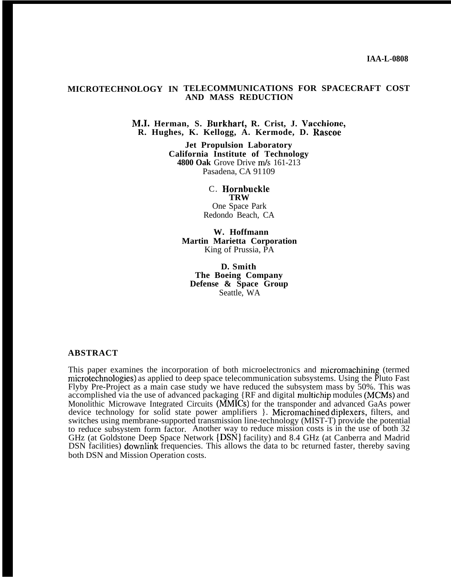### **MICROTECHNOLOGY IN TELECOMMUNICATIONS FOR SPACECRAFT COST AND MASS REDUCTION**

# **M.I. Herman, S. Burkhart, R. Crist, J. Vacchione, R. Hughes, K. Kellogg, A. Kermode, D. Rascoe**

**Jet Propulsion Laboratory California Institute of Technology 4800 Oak Grove Drive m/s 161-213** Pasadena, CA 91109

> C. **Hornbuckle TRW**

One Space Park Redondo Beach, CA

**W. Hoffmann Martin Marietta Corporation** King of Prussia, PA

**D. Smith The Boeing Company Defense & Space Group** Seattle, WA

### **ABSTRACT**

This paper examines the incorporation of both microelectronics and micromachining (termed microtechnologies) as applied to deep space telecommunication subsystems. Using the Pluto Fast Flyby Pre-Project as a main case study we have reduced the subsystem mass by 50%. This was accomplished via the use of advanced packaging {RF and digital multichip modules (MCMs) and Monolithic Microwave Integrated Circuits (MMICS) for the transponder and advanced GaAs power device technology for solid state power amplifiers }. Micromachined diplexers, filters, and switches using membrane-supported transmission line-technology (MIST-T) provide the potential to reduce subsystem form factor. Another way to reduce mission costs is in the use of both 32 GHz (at Goldstone Deep Space Network {DSN] facility) and 8.4 GHz (at Canberra and Madrid DSN facilities) downlink frequencies. This allows the data to bc returned faster, thereby saving both DSN and Mission Operation costs.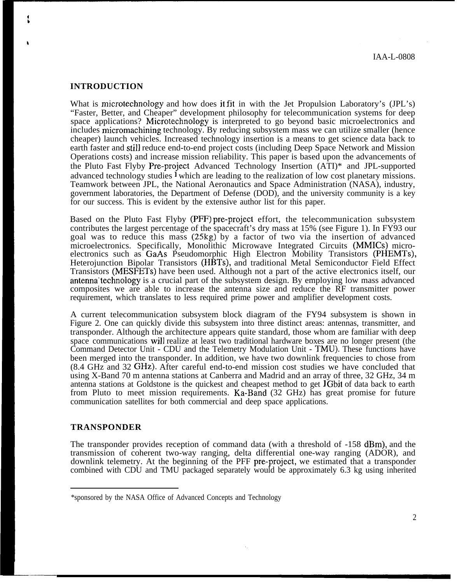### **INTRODUCTION**

What is microtechnology and how does it fit in with the Jet Propulsion Laboratory's (JPL's) "Faster, Better, and Cheaper" development philosophy for telecommunication systems for deep space applications? Microtechnology is interpreted to go beyond basic microelectronics and includes micromachining technology. By reducing subsystem mass we can utilize smaller (hence cheaper) launch vehicles. Increased technology insertion is a means to get science data back to earth faster and still reduce end-to-end project costs (including Deep Space Network and Mission Operations costs) and increase mission reliability. This paper is based upon the advancements of the Pluto Fast Flyby Pre-project Advanced Technology Insertion (ATI)\* and JPL-supported advanced technology studies I which are leading to the realization of low cost planetary missions. Teamwork between JPL, the National Aeronautics and Space Administration (NASA), industry, government laboratories, the Department of Defense (DOD), and the university community is a key for our success. This is evident by the extensive author list for this paper.

Based on the Pluto Fast Flyby (PFF) pre-project effort, the telecommunication subsystem contributes the largest percentage of the spacecraft's dry mass at 15% (see Figure 1). In FY93 our goal was to reduce this mass (25kg) by a factor of two via the insertion of advanced microelectronics. Specifically, Monolithic Microwave Integrated Circuits (MMICS) microelectronics such as GaAs Pseudomorphic High Electron Mobility Transistors (PHEMTs), Heterojunction Bipolar Transistors (HBTs), and traditional Metal Semiconductor Field Effect Transistors (MESFETS) have been used. Although not a part of the active electronics itself, our antenna'technology is a crucial part of the subsystem design. By employing low mass advanced composites we are able to increase the antenna size and reduce the RF transmitter power requirement, which translates to less required prime power and amplifier development costs.

A current telecommunication subsystem block diagram of the FY94 subsystem is shown in Figure 2. One can quickly divide this subsystem into three distinct areas: antennas, transmitter, and transponder. Although the architecture appears quite standard, those whom are familiar with deep space communications will realize at least two traditional hardware boxes are no longer present (the Command Detector Unit - CDU and the Telemetry Modulation Unit - TMU). These functions have been merged into the transponder. In addition, we have two downlink frequencies to chose from (8.4 GHz and 32 GHz). After careful end-to-end mission cost studies we have concluded that using X-Band 70 m antenna stations at Canberra and Madrid and an array of three, 32 GHz, 34 m antenna stations at Goldstone is the quickest and cheapest method to get  $1G\text{bit}$  of data back to earth from Pluto to meet mission requirements. Ka-Band (32 GHz) has great promise for future communication satellites for both commercial and deep space applications.

#### **TRANSPONDER**

The transponder provides reception of command data (with a threshold of -158 dBm), and the transmission of coherent two-way ranging, delta differential one-way ranging (ADOR), and downlink telemetry. At the beginning of the PFF pre-project, we estimated that a transponder combined with CDU and TMU packaged separately would be approximately 6.3 kg using inherited

<sup>\*</sup>sponsored by the NASA Office of Advanced Concepts and Technology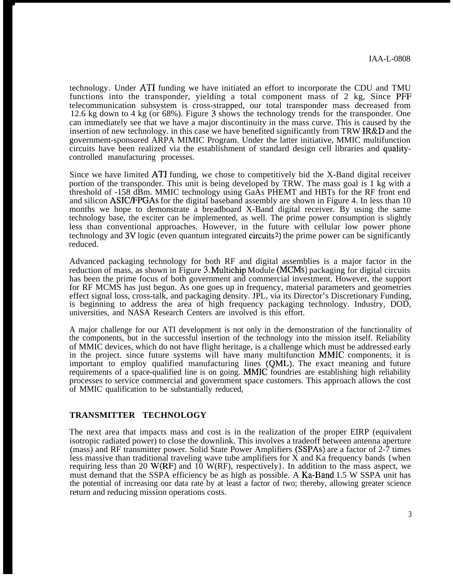technology. Under ATI funding we have initiated an effort to incorporate the CDU and TMU functions into the transponder, yielding a total component mass of 2 kg, Since PFF telecommunication subsystem is cross-strapped, our total transponder mass decreased from 12.6 kg down to 4 kg (or 68%). Figure 3 shows the technology trends for the transponder. One can immediately see that we have a major discontinuity in the mass curve. This is caused by the insertion of new technology. in this case we have benefited significantly from TRW IR&D and the government-sponsored ARPA MIMIC Program. Under the latter initiative, MMIC multifunction circuits have been realized via the establishment of standard design cell libraries and qualitycontrolled manufacturing processes.

Since we have limited ATI funding, we chose to competitively bid the X-Band digital receiver portion of the transponder. This unit is being developed by TRW. The mass goal is 1 kg with a threshold of -158 dBm. MMIC technology using GaAs PHEMT and HBTs for the RF front end and silicon ASICIFPGAS for the digital baseband assembly are shown in Figure 4. In less than 10 months we hope to demonstrate a breadboard X-Band digital receiver. By using the same technology base, the exciter can be implemented, as well. The prime power consumption is slightly less than conventional approaches. However, in the future with cellular low power phone technology and 3V logic (even quantum integrated circuits<sup>2</sup>) the prime power can be significantly reduced.

Advanced packaging technology for both RF and digital assemblies is a major factor in the reduction of mass, as shown in Figure 3. Multichip Module (MCMS) packaging for digital circuits has been the prime focus of both government and commercial investment. However, the support for RF MCMS has just begun. As one goes up in frequency, material parameters and geometries effect signal loss, cross-talk, and packaging density. JPL, via its Director's Discretionary Funding, is beginning to address the area of high frequency packaging technology. Industry, DOD, universities, and NASA Research Centers are involved is this effort.

A major challenge for our ATI development is not only in the demonstration of the functionality of the components, but in the successful insertion of the technology into the mission itself. Reliability of MMIC devices, which do not have flight heritage, is a challenge which must be addressed early in the project. since future systems will have many multifunction MMIC components, it is important to employ qualified manufacturing lines (QML). The exact meaning and future requirements of a space-qualified line is on going. MMIC foundries are establishing high reliability processes to service commercial and government space customers. This approach allows the cost of MMIC qualification to be substantially reduced,

### **TRANSMITTER TECHNOLOGY**

The next area that impacts mass and cost is in the realization of the proper EIRP (equivalent isotropic radiated power) to close the downlink. This involves a tradeoff between antenna aperture (mass) and RF transmitter power. Solid State Power Amplifiers (SSPAS) are a factor of 2-7 times less massive than traditional traveling wave tube amplifiers for X and Ka frequency bands {when requiring less than 20 W(RF) and 10 W(RF), respectively}. In addition to the mass aspect, we must demand that the SSPA efficiency be as high as possible. A Ka-Band 1.5 W SSPA unit has the potential of increasing our data rate by at least a factor of two; thereby, allowing greater science return and reducing mission operations costs.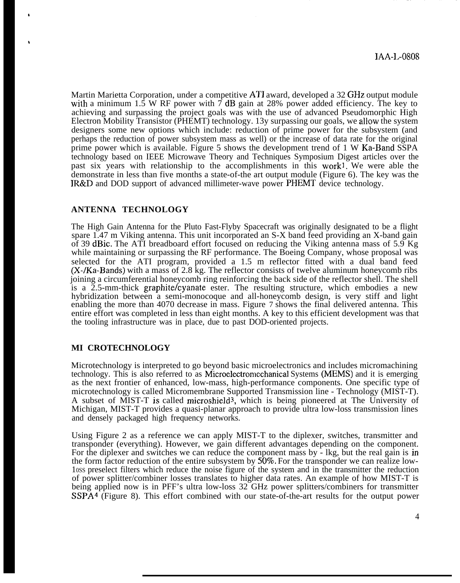Martin Marietta Corporation, under a competitive ATI award, developed a 32 GHz output module with a minimum 1.5 W RF power with  $\bar{7}$  dB gain at 28% power added efficiency. The key to achieving and surpassing the project goals was with the use of advanced Pseudomorphic High Electron Mobility Transistor (PHEMT) technology. 13y surpassing our goals, we allow the system designers some new options which include: reduction of prime power for the subsystem (and perhaps the reduction of power subsystem mass as well) or the increase of data rate for the original prime power which is available. Figure 5 shows the development trend of 1 W Ka-Band SSPA technology based on IEEE Microwave Theory and Techniques Symposium Digest articles over the past six years with relationship to the accomplishments in this work]. We were able the demonstrate in less than five months a state-of-the art output module (Figure 6). The key was the IR&D and DOD support of advanced millimeter-wave power PHEMT device technology.

### **ANTENNA TECHNOLOGY**

The High Gain Antenna for the Pluto Fast-Flyby Spacecraft was originally designated to be a flight spare 1.47 m Viking antenna. This unit incorporated an S-X band feed providing an X-band gain of 39 dBic. The ATI breadboard effort focused on reducing the Viking antenna mass of 5.9 Kg while maintaining or surpassing the RF performance. The Boeing Company, whose proposal was selected for the ATI program, provided a 1.5 m reflector fitted with a dual band feed (X-/Ka-Bands) with a mass of 2.8 kg. The reflector consists of twelve aluminum honeycomb ribs joining a circumferential honeycomb ring reinforcing the back side of the reflector shell. The shell is a 2.5-mm-thick graphite/cyanate ester. The resulting structure, which embodies a new hybridization between a semi-monocoque and all-honeycomb design, is very stiff and light enabling the more than 4070 decrease in mass. Figure 7 shows the final delivered antenna. This entire effort was completed in less than eight months. A key to this efficient development was that the tooling infrastructure was in place, due to past DOD-oriented projects.

# **MI CROTECHNOLOGY**

Microtechnology is interpreted to go beyond basic microelectronics and includes micromachining technology. This is also referred to as Microelectromechanical Systems (MEMS) and it is emerging as the next frontier of enhanced, low-mass, high-performance components. One specific type of microtechnology is called Micromembrane Supported Transmission line - Technology (MIST-T). A subset of MIST-T is called microshield<sup>3</sup>, which is being pioneered at The University of Michigan, MIST-T provides a quasi-planar approach to provide ultra low-loss transmission lines and densely packaged high frequency networks.

Using Figure 2 as a reference we can apply MIST-T to the diplexer, switches, transmitter and transponder (everything). However, we gain different advantages depending on the component. For the diplexer and switches we can reduce the component mass by - lkg, but the real gain is in the form factor reduction of the entire subsystem by 50%. For the transponder we can realize low-10SS preselect filters which reduce the noise figure of the system and in the transmitter the reduction of power splitter/combiner losses translates to higher data rates. An example of how MIST-T is being applied now is in PFF's ultra low-loss 32 GHz power splitters/combiners for transmitter SSPA4 (Figure 8). This effort combined with our state-of-the-art results for the output power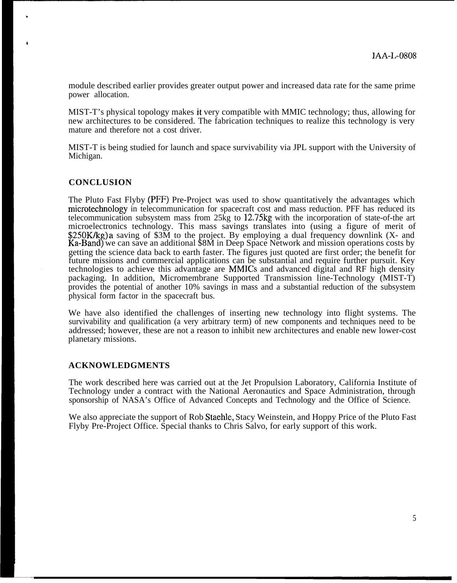module described earlier provides greater output power and increased data rate for the same prime power allocation.

MIST-T's physical topology makes it very compatible with MMIC technology; thus, allowing for new architectures to be considered. The fabrication techniques to realize this technology is very mature and therefore not a cost driver.

MIST-T is being studied for launch and space survivability via JPL support with the University of Michigan.

### **CONCLUSION**

The Pluto Fast Flyby (PFF) Pre-Project was used to show quantitatively the advantages which microtechnology in telecommunication for spacecraft cost and mass reduction. PFF has reduced its telecommunication subsystem mass from 25kg to 12.75kg with the incorporation of state-of-the art microelectronics technology. This mass savings translates into (using a figure of merit of **\$250Klkg) a** saving of \$3M to the project. By employing a dual frequency downlink (X- and Ka-Band) we can save an additional \$8M in Deep Space Network and mission operations costs by getting the science data back to earth faster. The figures just quoted are first order; the benefit for future missions and commercial applications can be substantial and require further pursuit. Key technologies to achieve this advantage are MMICS and advanced digital and RF high density packaging. In addition, Micromembrane Supported Transmission line-Technology (MIST-T) provides the potential of another 10% savings in mass and a substantial reduction of the subsystem physical form factor in the spacecraft bus.

We have also identified the challenges of inserting new technology into flight systems. The survivability and qualification (a very arbitrary term) of new components and techniques need to be addressed; however, these are not a reason to inhibit new architectures and enable new lower-cost planetary missions.

#### **ACKNOWLEDGMENTS**

The work described here was carried out at the Jet Propulsion Laboratory, California Institute of Technology under a contract with the National Aeronautics and Space Administration, through sponsorship of NASA's Office of Advanced Concepts and Technology and the Office of Science.

We also appreciate the support of Rob Staehle, Stacy Weinstein, and Hoppy Price of the Pluto Fast Flyby Pre-Project Office. Special thanks to Chris Salvo, for early support of this work.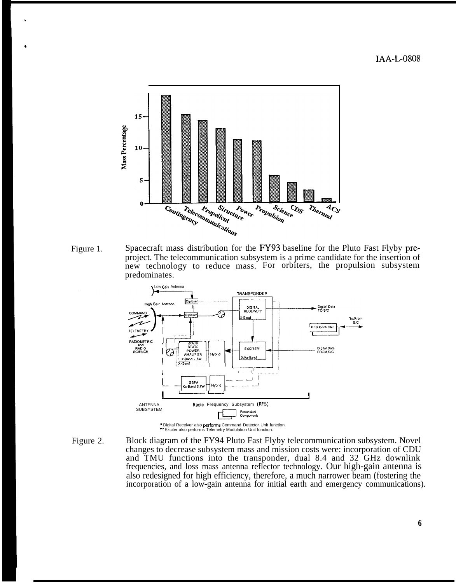

.

\*

Figure 1. Spacecraft mass distribution for the FY93 baseline for the Pluto Fast Flyby preproject. The telecommunication subsystem is a prime candidate for the insertion of new technology to reduce mass. For orbiters, the propulsion subsystem predominates.



Figure 2. Block diagram of the FY94 Pluto Fast Flyby telecommunication subsystem. Novel changes to decrease subsystem mass and mission costs were: incorporation of CDU and TMU functions into the transponder, dual 8.4 and 32 GHz downlink frequencies, and loss mass antenna reflector technology. Our high-gain antenna is also redesigned for high efficiency, therefore, a much narrower beam (fostering the incorporation of a low-gain antenna for initial earth and emergency communications).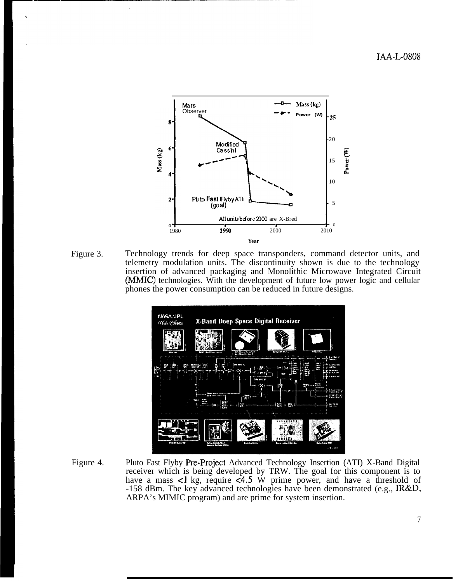

Figure 3. Technology trends for deep space transponders, command detector units, and telemetry modulation units. The discontinuity shown is due to the technology insertion of advanced packaging and Monolithic Microwave Integrated Circuit (MMIC) technologies. With the development of future low power logic and cellular phones the power consumption can be reduced in future designs.



Figure 4. Pluto Fast Flyby Pre-Project Advanced Technology Insertion (ATI) X-Band Digital receiver which is being developed by TRW. The goal for this component is to have a mass  $\langle 1 \rangle$  kg, require  $\langle 4.5 \rangle$  W prime power, and have a threshold of -158 dBm. The key advanced technologies have been demonstrated (e.g., IR&D, ARPA's MIMIC program) and are prime for system insertion.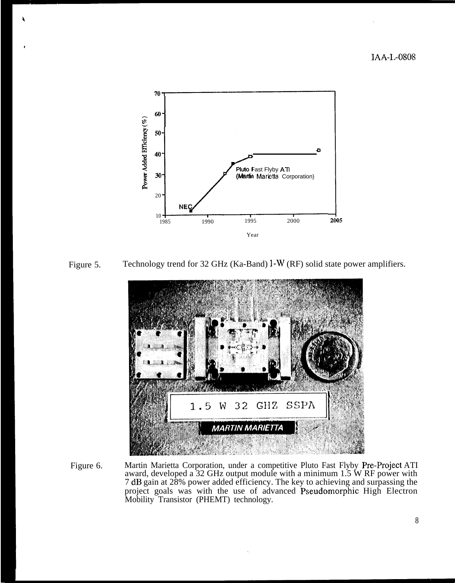

Figure 5. Technology trend for 32 GHz (Ka-Band) 1-W (RF) solid state power amplifiers.



Figure 6. Martin Marietta Corporation, under a competitive Pluto Fast Flyby Pre-Project ATI award, developed a 32 GHz output module with a minimum 1.5 W RF power with 7 dB gain at 28% power added efficiency. The key to achieving and surpassing the project goals was with the use of advanced Pseudomorphic High Electron Mobility Transistor (PHEMT) technology.

8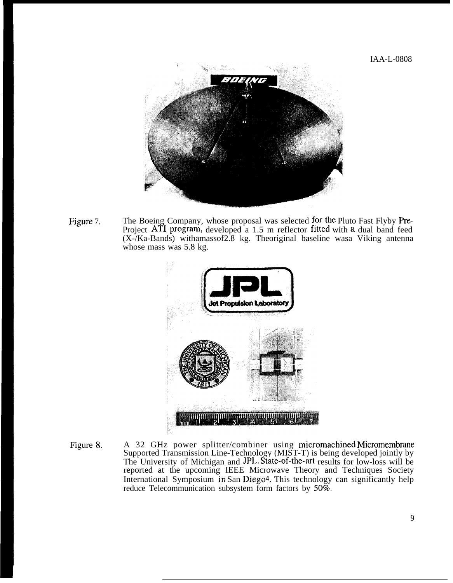

Figure 7. The Boeing Company, whose proposal was selected for the Pluto Fast Flyby Pre-Project ATI program, developed a 1.5 m reflector fitted with a dual band feed (X-/Ka-Bands) withamassof2.8 kg. Theoriginal baseline wasa Viking antenna whose mass was 5.8 kg.



Figure 8. A 32 GHz power splitter/combiner using micromachined Micromembrane Supported Transmission Line-Technology (MIST-T) is being developed jointly by The University of Michigan and JPL State-of-the-art results for low-loss will be reported at the upcoming IEEE Microwave Theory and Techniques Society International Symposium in San Diego<sup>4</sup>. This technology can significantly help reduce Telecommunication subsystem form factors by  $50\%$ .